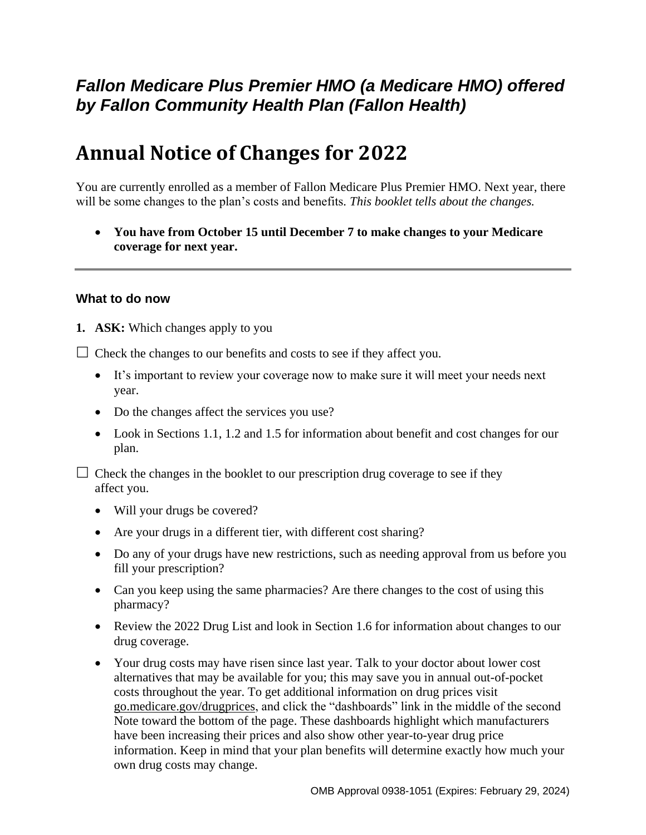## *Fallon Medicare Plus Premier HMO (a Medicare HMO) offered by Fallon Community Health Plan (Fallon Health)*

# **Annual Notice of Changes for 2022**

You are currently enrolled as a member of Fallon Medicare Plus Premier HMO. Next year, there will be some changes to the plan's costs and benefits*. This booklet tells about the changes.*

 **You have from October 15 until December 7 to make changes to your Medicare coverage for next year.**

#### **What to do now**

**1. ASK:** Which changes apply to you

 $\Box$  Check the changes to our benefits and costs to see if they affect you.

- It's important to review your coverage now to make sure it will meet your needs next year.
- Do the changes affect the services you use?
- Look in Sections 1.1, 1.2 and 1.5 for information about benefit and cost changes for our plan.

 $\Box$  Check the changes in the booklet to our prescription drug coverage to see if they affect you.

- Will your drugs be covered?
- Are your drugs in a different tier, with different cost sharing?
- Do any of your drugs have new restrictions, such as needing approval from us before you fill your prescription?
- Can you keep using the same pharmacies? Are there changes to the cost of using this pharmacy?
- Review the 2022 Drug List and look in Section 1.6 for information about changes to our drug coverage.
- Your drug costs may have risen since last year. Talk to your doctor about lower cost alternatives that may be available for you; this may save you in annual out-of-pocket costs throughout the year. To get additional information on drug prices visit [go.medicare.gov/drugprices,](https://go.medicare.gov/drugprices) and click the "dashboards" link in the middle of the second Note toward the bottom of the page. These dashboards highlight which manufacturers have been increasing their prices and also show other year-to-year drug price information. Keep in mind that your plan benefits will determine exactly how much your own drug costs may change.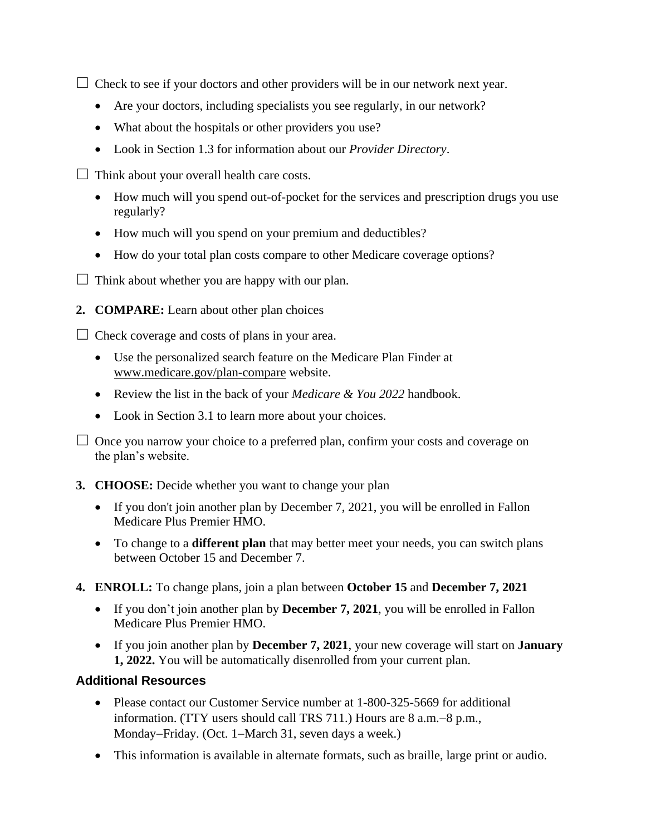$\Box$  Check to see if your doctors and other providers will be in our network next year.

- Are your doctors, including specialists you see regularly, in our network?
- What about the hospitals or other providers you use?
- Look in Section 1.3 for information about our *Provider Directory*.
- $\Box$  Think about your overall health care costs.
	- How much will you spend out-of-pocket for the services and prescription drugs you use regularly?
	- How much will you spend on your premium and deductibles?
	- How do your total plan costs compare to other Medicare coverage options?
- $\Box$  Think about whether you are happy with our plan.
- **2. COMPARE:** Learn about other plan choices

 $\Box$  Check coverage and costs of plans in your area.

- Use the personalized search feature on the Medicare Plan Finder at [www.medicare.gov/plan-compare](http://www.medicare.gov/plan-compare) website.
- Review the list in the back of your *Medicare & You 2022* handbook.
- Look in Section 3.1 to learn more about your choices.

 $\Box$  Once you narrow your choice to a preferred plan, confirm your costs and coverage on the plan's website.

- **3. CHOOSE:** Decide whether you want to change your plan
	- If you don't join another plan by December 7, 2021, you will be enrolled in Fallon Medicare Plus Premier HMO.
	- To change to a **different plan** that may better meet your needs, you can switch plans between October 15 and December 7.
- **4. ENROLL:** To change plans, join a plan between **October 15** and **December 7, 2021**
	- If you don't join another plan by **December 7, 2021**, you will be enrolled in Fallon Medicare Plus Premier HMO.
	- If you join another plan by **December 7, 2021**, your new coverage will start on **January 1, 2022.** You will be automatically disenrolled from your current plan.

#### **Additional Resources**

- Please contact our Customer Service number at 1-800-325-5669 for additional information. (TTY users should call TRS 711.) Hours are 8 a.m. - 8 p.m., Monday–Friday. (Oct. 1–March 31, seven days a week.)
- This information is available in alternate formats, such as braille, large print or audio.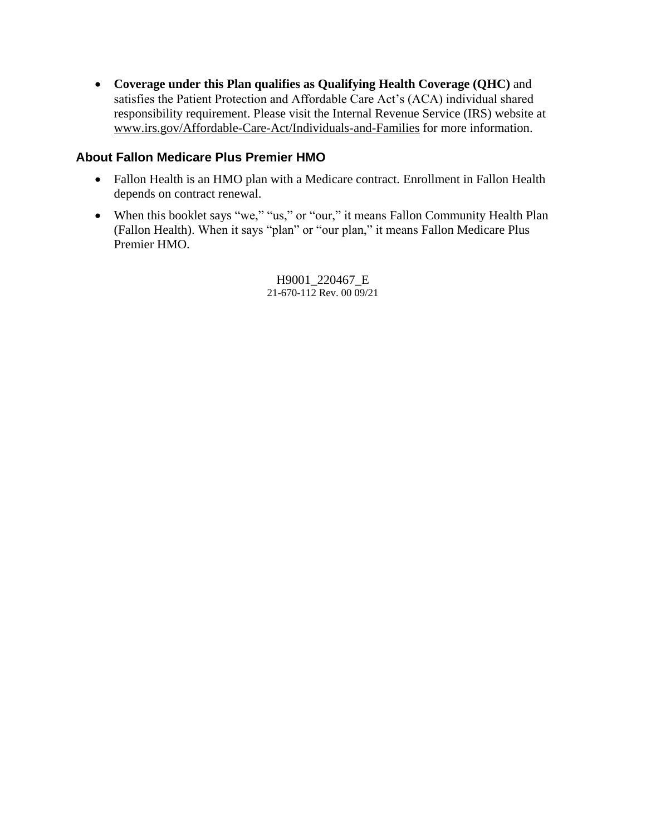**Coverage under this Plan qualifies as Qualifying Health Coverage (QHC)** and satisfies the Patient Protection and Affordable Care Act's (ACA) individual shared responsibility requirement. Please visit the Internal Revenue Service (IRS) website at [www.irs.gov/Affordable-Care-Act/Individuals-and-Families](http://www.irs.gov/Affordable-Care-Act/Individuals-and-Families) for more information.

#### **About Fallon Medicare Plus Premier HMO**

- Fallon Health is an HMO plan with a Medicare contract. Enrollment in Fallon Health depends on contract renewal.
- When this booklet says "we," "us," or "our," it means Fallon Community Health Plan (Fallon Health). When it says "plan" or "our plan," it means Fallon Medicare Plus Premier HMO.

H9001\_220467\_E 21-670-112 Rev. 00 09/21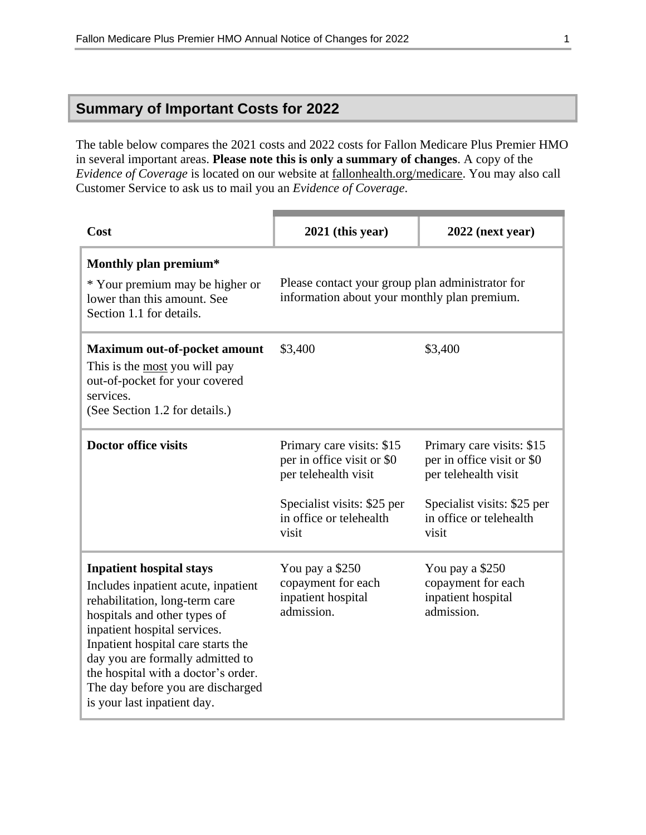## **Summary of Important Costs for 2022**

The table below compares the 2021 costs and 2022 costs for Fallon Medicare Plus Premier HMO in several important areas. **Please note this is only a summary of changes**. A copy of the *Evidence of Coverage* is located on our website at [fallonhealth.org/medicare.](file://///emcprd01/group/Medicare%20Programs/ANOCs/2022/FMP/fallonhealth.org/medicare) You may also call Customer Service to ask us to mail you an *Evidence of Coverage*.

| Cost                                                                                                                                                                                                                                                                                                                                                          | $2021$ (this year)                                                                                                                                 | $2022$ (next year)                                                                                                                                 |
|---------------------------------------------------------------------------------------------------------------------------------------------------------------------------------------------------------------------------------------------------------------------------------------------------------------------------------------------------------------|----------------------------------------------------------------------------------------------------------------------------------------------------|----------------------------------------------------------------------------------------------------------------------------------------------------|
| Monthly plan premium*<br>* Your premium may be higher or<br>lower than this amount. See<br>Section 1.1 for details.                                                                                                                                                                                                                                           | Please contact your group plan administrator for<br>information about your monthly plan premium.                                                   |                                                                                                                                                    |
| <b>Maximum out-of-pocket amount</b><br>This is the most you will pay<br>out-of-pocket for your covered<br>services.<br>(See Section 1.2 for details.)                                                                                                                                                                                                         | \$3,400                                                                                                                                            | \$3,400                                                                                                                                            |
| <b>Doctor office visits</b>                                                                                                                                                                                                                                                                                                                                   | Primary care visits: \$15<br>per in office visit or \$0<br>per telehealth visit<br>Specialist visits: \$25 per<br>in office or telehealth<br>visit | Primary care visits: \$15<br>per in office visit or \$0<br>per telehealth visit<br>Specialist visits: \$25 per<br>in office or telehealth<br>visit |
| <b>Inpatient hospital stays</b><br>Includes inpatient acute, inpatient<br>rehabilitation, long-term care<br>hospitals and other types of<br>inpatient hospital services.<br>Inpatient hospital care starts the<br>day you are formally admitted to<br>the hospital with a doctor's order.<br>The day before you are discharged<br>is your last inpatient day. | You pay a \$250<br>copayment for each<br>inpatient hospital<br>admission.                                                                          | You pay a \$250<br>copayment for each<br>inpatient hospital<br>admission.                                                                          |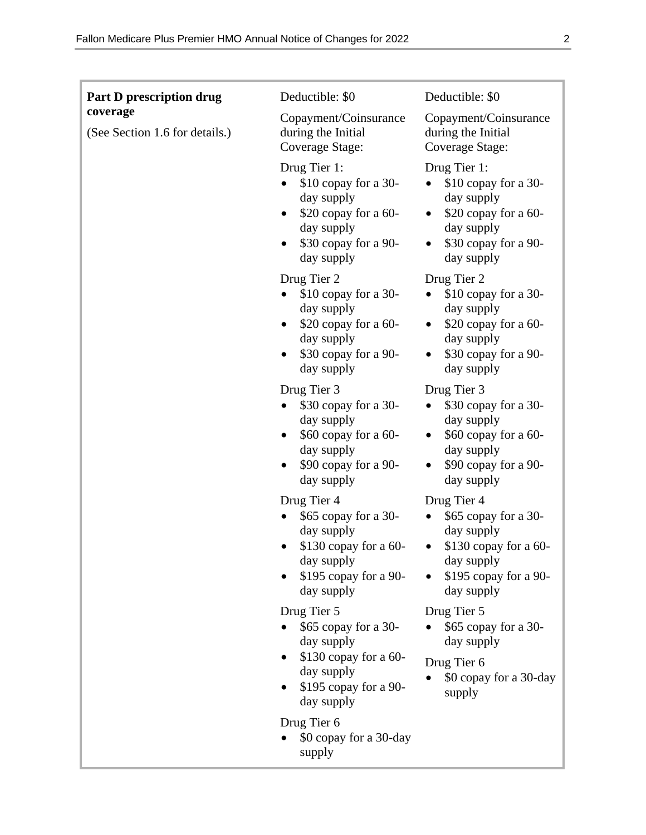| <b>Part D prescription drug</b>            | Deductible: \$0                                                                                                                  | Deductible: \$0                                                                                                                  |
|--------------------------------------------|----------------------------------------------------------------------------------------------------------------------------------|----------------------------------------------------------------------------------------------------------------------------------|
| coverage<br>(See Section 1.6 for details.) | Copayment/Coinsurance<br>during the Initial<br>Coverage Stage:                                                                   | Copayment/Coinsurance<br>during the Initial<br>Coverage Stage:                                                                   |
|                                            | Drug Tier 1:<br>$$10$ copay for a 30-<br>day supply<br>\$20 copay for a 60-<br>day supply<br>\$30 copay for a 90-<br>day supply  | Drug Tier 1:<br>$$10$ copay for a 30-<br>day supply<br>\$20 copay for a 60-<br>day supply<br>\$30 copay for a 90-<br>day supply  |
|                                            | Drug Tier 2<br>\$10 copay for a 30-<br>day supply<br>$$20$ copay for a 60-<br>day supply<br>\$30 copay for a 90-<br>day supply   | Drug Tier 2<br>\$10 copay for a 30-<br>day supply<br>\$20 copay for a 60-<br>day supply<br>\$30 copay for a 90-<br>day supply    |
|                                            | Drug Tier 3<br>\$30 copay for a 30-<br>day supply<br>\$60 copay for a 60-<br>day supply<br>\$90 copay for a 90-<br>day supply    | Drug Tier 3<br>\$30 copay for a 30-<br>day supply<br>\$60 copay for a 60-<br>day supply<br>\$90 copay for a 90-<br>day supply    |
|                                            | Drug Tier 4<br>\$65 copay for a 30-<br>day supply<br>\$130 copay for a 60-<br>day supply<br>\$195 copay for a 90-<br>day supply  | Drug Tier 4<br>\$65 copay for a 30-<br>day supply<br>\$130 copay for a 60-<br>day supply<br>$$195$ copay for a 90-<br>day supply |
|                                            | Drug Tier 5<br>\$65 copay for a 30-<br>day supply<br>$$130$ copay for a 60-<br>day supply<br>\$195 copay for a 90-<br>day supply | Drug Tier 5<br>\$65 copay for a 30-<br>day supply<br>Drug Tier 6<br>\$0 copay for a 30-day<br>supply                             |
|                                            | Drug Tier 6<br>\$0 copay for a 30-day<br>supply                                                                                  |                                                                                                                                  |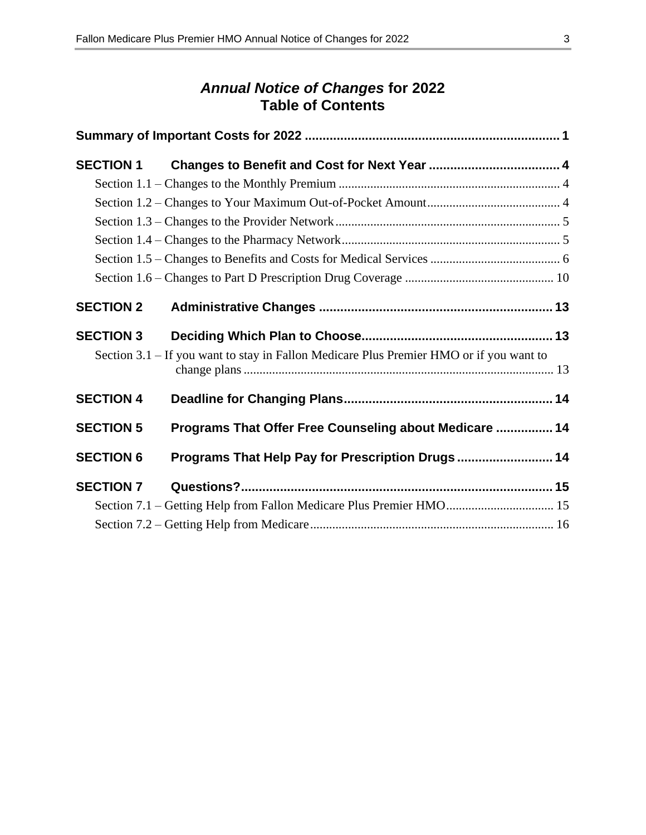## *Annual Notice of Changes* **for 2022 Table of Contents**

| <b>SECTION 1</b> |                                                                                         |  |
|------------------|-----------------------------------------------------------------------------------------|--|
|                  |                                                                                         |  |
|                  |                                                                                         |  |
|                  |                                                                                         |  |
|                  |                                                                                         |  |
|                  |                                                                                         |  |
|                  |                                                                                         |  |
| <b>SECTION 2</b> |                                                                                         |  |
| <b>SECTION 3</b> |                                                                                         |  |
|                  | Section 3.1 - If you want to stay in Fallon Medicare Plus Premier HMO or if you want to |  |
| <b>SECTION 4</b> |                                                                                         |  |
| <b>SECTION 5</b> | Programs That Offer Free Counseling about Medicare  14                                  |  |
| <b>SECTION 6</b> | Programs That Help Pay for Prescription Drugs 14                                        |  |
| <b>SECTION 7</b> |                                                                                         |  |
|                  | Section 7.1 - Getting Help from Fallon Medicare Plus Premier HMO 15                     |  |
|                  |                                                                                         |  |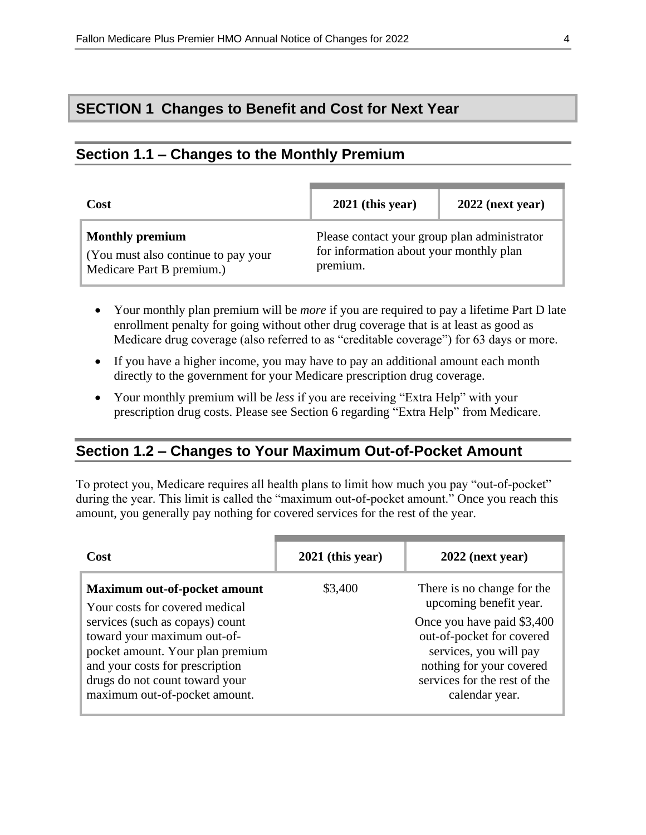## **SECTION 1 Changes to Benefit and Cost for Next Year**

#### **Section 1.1 – Changes to the Monthly Premium**

| Cost                                                                                       | $2021$ (this year)                                                                                  | $2022$ (next year) |
|--------------------------------------------------------------------------------------------|-----------------------------------------------------------------------------------------------------|--------------------|
| <b>Monthly premium</b><br>(You must also continue to pay your<br>Medicare Part B premium.) | Please contact your group plan administrator<br>for information about your monthly plan<br>premium. |                    |

- Your monthly plan premium will be *more* if you are required to pay a lifetime Part D late enrollment penalty for going without other drug coverage that is at least as good as Medicare drug coverage (also referred to as "creditable coverage") for 63 days or more.
- If you have a higher income, you may have to pay an additional amount each month directly to the government for your Medicare prescription drug coverage.
- Your monthly premium will be *less* if you are receiving "Extra Help" with your prescription drug costs. Please see Section 6 regarding "Extra Help" from Medicare.

#### **Section 1.2 – Changes to Your Maximum Out-of-Pocket Amount**

To protect you, Medicare requires all health plans to limit how much you pay "out-of-pocket" during the year. This limit is called the "maximum out-of-pocket amount." Once you reach this amount, you generally pay nothing for covered services for the rest of the year.

| Cost                                                                                                                                                                                                     | $2021$ (this year) | $2022$ (next year)                                                                                                                                              |
|----------------------------------------------------------------------------------------------------------------------------------------------------------------------------------------------------------|--------------------|-----------------------------------------------------------------------------------------------------------------------------------------------------------------|
| Maximum out-of-pocket amount<br>Your costs for covered medical                                                                                                                                           | \$3,400            | There is no change for the<br>upcoming benefit year.                                                                                                            |
| services (such as copays) count<br>toward your maximum out-of-<br>pocket amount. Your plan premium<br>and your costs for prescription<br>drugs do not count toward your<br>maximum out-of-pocket amount. |                    | Once you have paid \$3,400<br>out-of-pocket for covered<br>services, you will pay<br>nothing for your covered<br>services for the rest of the<br>calendar year. |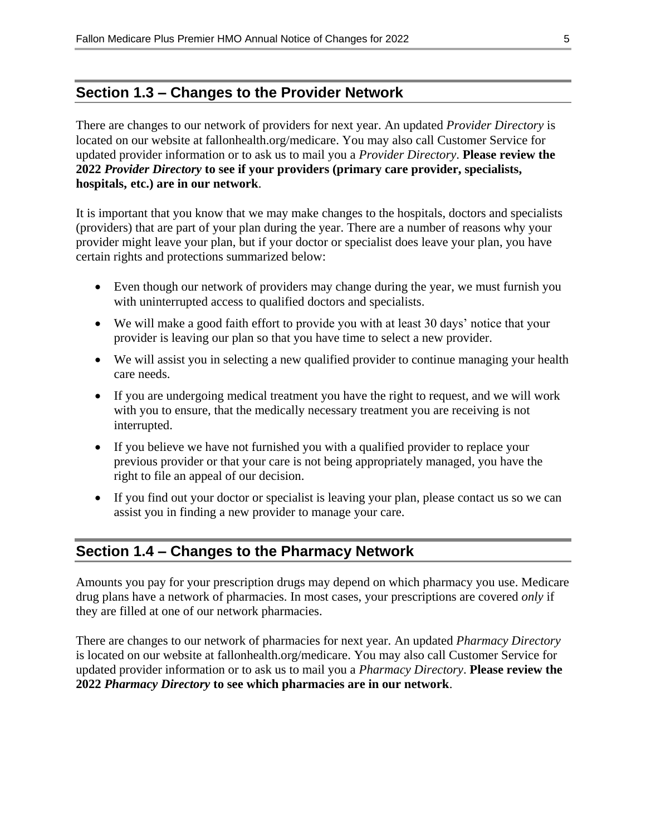#### **Section 1.3 – Changes to the Provider Network**

There are changes to our network of providers for next year. An updated *Provider Directory* is located on our website at fallonhealth.org/medicare. You may also call Customer Service for updated provider information or to ask us to mail you a *Provider Directory*. **Please review the 2022** *Provider Directory* **to see if your providers (primary care provider, specialists, hospitals, etc.) are in our network**.

It is important that you know that we may make changes to the hospitals, doctors and specialists (providers) that are part of your plan during the year. There are a number of reasons why your provider might leave your plan, but if your doctor or specialist does leave your plan, you have certain rights and protections summarized below:

- Even though our network of providers may change during the year, we must furnish you with uninterrupted access to qualified doctors and specialists.
- We will make a good faith effort to provide you with at least 30 days' notice that your provider is leaving our plan so that you have time to select a new provider.
- We will assist you in selecting a new qualified provider to continue managing your health care needs.
- If you are undergoing medical treatment you have the right to request, and we will work with you to ensure, that the medically necessary treatment you are receiving is not interrupted.
- If you believe we have not furnished you with a qualified provider to replace your previous provider or that your care is not being appropriately managed, you have the right to file an appeal of our decision.
- If you find out your doctor or specialist is leaving your plan, please contact us so we can assist you in finding a new provider to manage your care.

## **Section 1.4 – Changes to the Pharmacy Network**

Amounts you pay for your prescription drugs may depend on which pharmacy you use. Medicare drug plans have a network of pharmacies. In most cases, your prescriptions are covered *only* if they are filled at one of our network pharmacies.

There are changes to our network of pharmacies for next year. An updated *Pharmacy Directory* is located on our website at fallonhealth.org/medicare. You may also call Customer Service for updated provider information or to ask us to mail you a *Pharmacy Directory*. **Please review the 2022** *Pharmacy Directory* **to see which pharmacies are in our network**.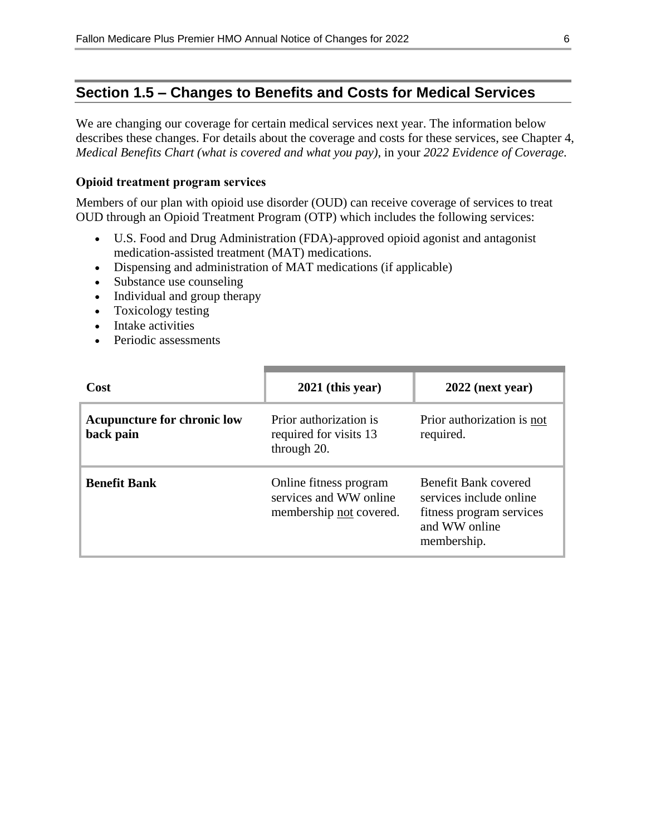## **Section 1.5 – Changes to Benefits and Costs for Medical Services**

We are changing our coverage for certain medical services next year. The information below describes these changes. For details about the coverage and costs for these services, see Chapter 4, *Medical Benefits Chart (what is covered and what you pay)*, in your *2022 Evidence of Coverage.*

#### **Opioid treatment program services**

Members of our plan with opioid use disorder (OUD) can receive coverage of services to treat OUD through an Opioid Treatment Program (OTP) which includes the following services:

- U.S. Food and Drug Administration (FDA)-approved opioid agonist and antagonist medication-assisted treatment (MAT) medications.
- Dispensing and administration of MAT medications (if applicable)
- Substance use counseling
- Individual and group therapy
- Toxicology testing
- Intake activities
- Periodic assessments

| Cost                                            | $2021$ (this year)                                                          | $2022$ (next year)                                                                                          |
|-------------------------------------------------|-----------------------------------------------------------------------------|-------------------------------------------------------------------------------------------------------------|
| <b>Acupuncture for chronic low</b><br>back pain | Prior authorization is<br>required for visits 13<br>through 20.             | Prior authorization is not<br>required.                                                                     |
| <b>Benefit Bank</b>                             | Online fitness program<br>services and WW online<br>membership not covered. | Benefit Bank covered<br>services include online<br>fitness program services<br>and WW online<br>membership. |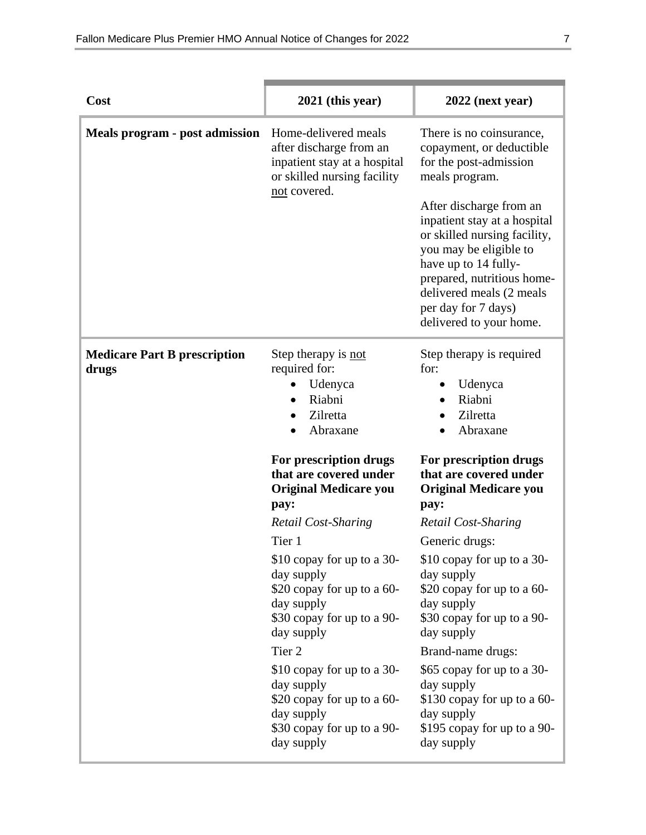| Cost                                         | 2021 (this year)                                                                                                                           | $2022$ (next year)                                                                                                                                                                                                                                                                                                                                        |
|----------------------------------------------|--------------------------------------------------------------------------------------------------------------------------------------------|-----------------------------------------------------------------------------------------------------------------------------------------------------------------------------------------------------------------------------------------------------------------------------------------------------------------------------------------------------------|
| <b>Meals program - post admission</b>        | Home-delivered meals<br>after discharge from an<br>inpatient stay at a hospital<br>or skilled nursing facility<br>not covered.             | There is no coinsurance,<br>copayment, or deductible<br>for the post-admission<br>meals program.<br>After discharge from an<br>inpatient stay at a hospital<br>or skilled nursing facility,<br>you may be eligible to<br>have up to 14 fully-<br>prepared, nutritious home-<br>delivered meals (2 meals<br>per day for 7 days)<br>delivered to your home. |
| <b>Medicare Part B prescription</b><br>drugs | Step therapy is not<br>required for:<br>Udenyca<br>Riabni<br>Zilretta<br>Abraxane                                                          | Step therapy is required<br>for:<br>Udenyca<br>Riabni<br>Zilretta<br>Abraxane                                                                                                                                                                                                                                                                             |
|                                              | For prescription drugs<br>that are covered under<br><b>Original Medicare you</b><br>pay:                                                   | For prescription drugs<br>that are covered under<br><b>Original Medicare you</b><br>pay:                                                                                                                                                                                                                                                                  |
|                                              | <b>Retail Cost-Sharing</b>                                                                                                                 | Retail Cost-Sharing                                                                                                                                                                                                                                                                                                                                       |
|                                              | Tier 1<br>\$10 copay for up to a 30-<br>day supply<br>\$20 copay for up to a 60-<br>day supply<br>\$30 copay for up to a 90-<br>day supply | Generic drugs:<br>\$10 copay for up to a 30-<br>day supply<br>\$20 copay for up to a 60-<br>day supply<br>\$30 copay for up to a 90-<br>day supply                                                                                                                                                                                                        |
|                                              | Tier <sub>2</sub>                                                                                                                          | Brand-name drugs:                                                                                                                                                                                                                                                                                                                                         |
|                                              | \$10 copay for up to a 30-<br>day supply<br>\$20 copay for up to a 60-<br>day supply<br>\$30 copay for up to a 90-<br>day supply           | \$65 copay for up to a 30-<br>day supply<br>\$130 copay for up to a 60-<br>day supply<br>\$195 copay for up to a 90-<br>day supply                                                                                                                                                                                                                        |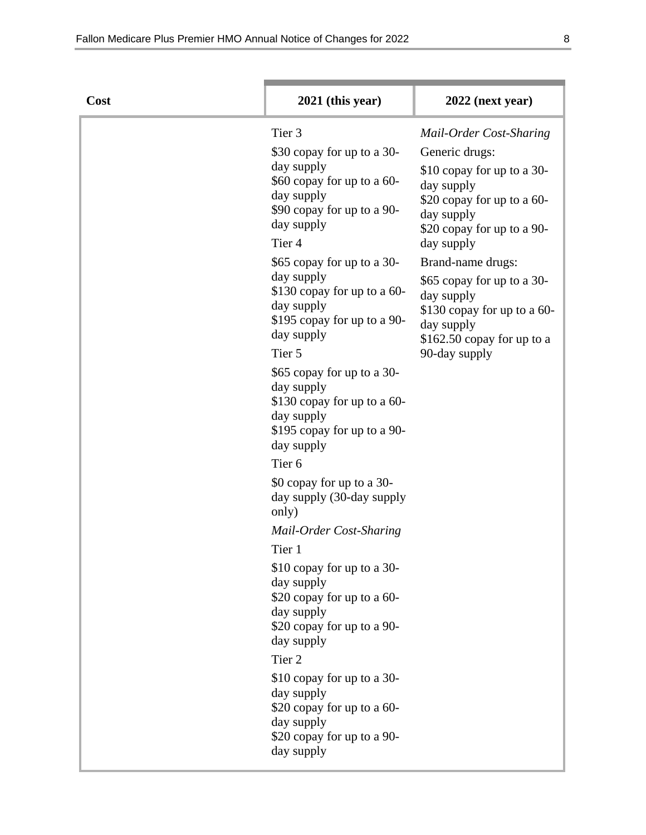| Cost | $2021$ (this year)                                                                                                                                                                                                                                                                                                                                                                                                                                                                                                                                                                                                                                                                                                  | $2022$ (next year)                                                                                                                                                                                                                                                                                                                          |
|------|---------------------------------------------------------------------------------------------------------------------------------------------------------------------------------------------------------------------------------------------------------------------------------------------------------------------------------------------------------------------------------------------------------------------------------------------------------------------------------------------------------------------------------------------------------------------------------------------------------------------------------------------------------------------------------------------------------------------|---------------------------------------------------------------------------------------------------------------------------------------------------------------------------------------------------------------------------------------------------------------------------------------------------------------------------------------------|
|      | Tier <sub>3</sub><br>\$30 copay for up to a 30-<br>day supply<br>\$60 copay for up to a 60-<br>day supply<br>\$90 copay for up to a 90-<br>day supply<br>Tier <sub>4</sub><br>\$65 copay for up to a 30-<br>day supply<br>\$130 copay for up to a 60-<br>day supply<br>\$195 copay for up to a 90-<br>day supply<br>Tier 5<br>\$65 copay for up to a 30-<br>day supply<br>\$130 copay for up to a 60-<br>day supply<br>\$195 copay for up to a 90-<br>day supply<br>Tier <sub>6</sub><br>\$0 copay for up to a 30-<br>day supply (30-day supply<br>only)<br>Mail-Order Cost-Sharing<br>Tier 1<br>\$10 copay for up to a 30-<br>day supply<br>\$20 copay for up to a 60-<br>day supply<br>\$20 copay for up to a 90- | Mail-Order Cost-Sharing<br>Generic drugs:<br>\$10 copay for up to a 30-<br>day supply<br>\$20 copay for up to a 60-<br>day supply<br>\$20 copay for up to a 90-<br>day supply<br>Brand-name drugs:<br>\$65 copay for up to a 30-<br>day supply<br>\$130 copay for up to a 60-<br>day supply<br>$$162.50$ copay for up to a<br>90-day supply |
|      | day supply<br>Tier <sub>2</sub><br>\$10 copay for up to a 30-<br>day supply<br>\$20 copay for up to a 60-<br>day supply<br>\$20 copay for up to a 90-<br>day supply                                                                                                                                                                                                                                                                                                                                                                                                                                                                                                                                                 |                                                                                                                                                                                                                                                                                                                                             |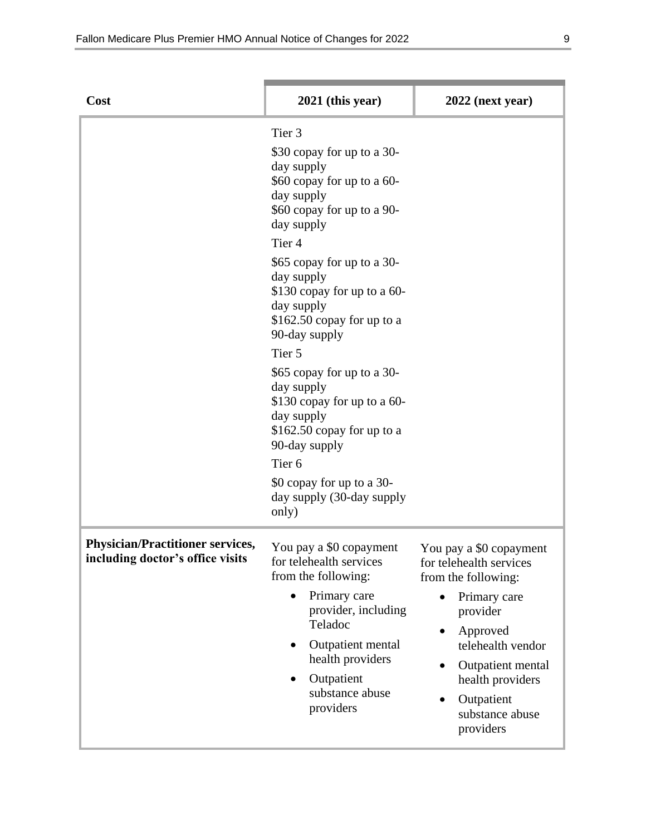| Cost                                                                        | $2021$ (this year)                                                                                                                                                                                                                                                                                                                                                                                                                                                                                                                                  | $2022$ (next year)                                                                                                                                                                                                            |
|-----------------------------------------------------------------------------|-----------------------------------------------------------------------------------------------------------------------------------------------------------------------------------------------------------------------------------------------------------------------------------------------------------------------------------------------------------------------------------------------------------------------------------------------------------------------------------------------------------------------------------------------------|-------------------------------------------------------------------------------------------------------------------------------------------------------------------------------------------------------------------------------|
|                                                                             | Tier <sub>3</sub><br>\$30 copay for up to a 30-<br>day supply<br>\$60 copay for up to a 60-<br>day supply<br>\$60 copay for up to a 90-<br>day supply<br>Tier 4<br>\$65 copay for up to a 30-<br>day supply<br>\$130 copay for up to a 60-<br>day supply<br>$$162.50$ copay for up to a<br>90-day supply<br>Tier 5<br>\$65 copay for up to a 30-<br>day supply<br>\$130 copay for up to a 60-<br>day supply<br>$$162.50$ copay for up to a<br>90-day supply<br>Tier <sub>6</sub><br>\$0 copay for up to a 30-<br>day supply (30-day supply<br>only) |                                                                                                                                                                                                                               |
| <b>Physician/Practitioner services,</b><br>including doctor's office visits | You pay a \$0 copayment<br>for telehealth services<br>from the following:<br>Primary care<br>provider, including<br>Teladoc<br>Outpatient mental<br>health providers<br>Outpatient<br>substance abuse<br>providers                                                                                                                                                                                                                                                                                                                                  | You pay a \$0 copayment<br>for telehealth services<br>from the following:<br>Primary care<br>provider<br>Approved<br>telehealth vendor<br>Outpatient mental<br>health providers<br>Outpatient<br>substance abuse<br>providers |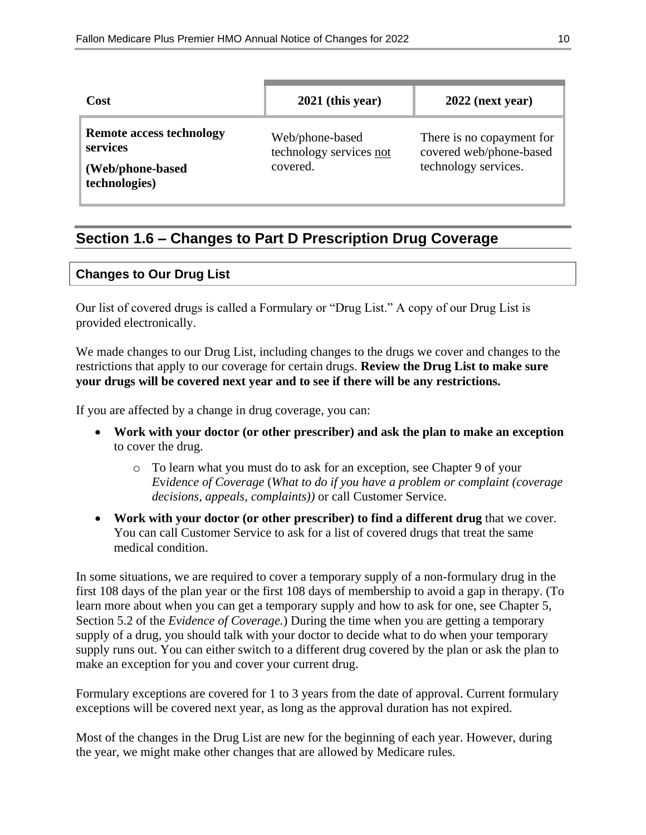| Cost                                                                             | $2021$ (this year)                                     | $2022$ (next year)                                                           |
|----------------------------------------------------------------------------------|--------------------------------------------------------|------------------------------------------------------------------------------|
| <b>Remote access technology</b><br>services<br>(Web/phone-based<br>technologies) | Web/phone-based<br>technology services not<br>covered. | There is no copayment for<br>covered web/phone-based<br>technology services. |

## **Section 1.6 – Changes to Part D Prescription Drug Coverage**

#### **Changes to Our Drug List**

Our list of covered drugs is called a Formulary or "Drug List." A copy of our Drug List is provided electronically.

We made changes to our Drug List, including changes to the drugs we cover and changes to the restrictions that apply to our coverage for certain drugs. **Review the Drug List to make sure your drugs will be covered next year and to see if there will be any restrictions.**

If you are affected by a change in drug coverage, you can:

- **Work with your doctor (or other prescriber) and ask the plan to make an exception** to cover the drug.
	- o To learn what you must do to ask for an exception, see Chapter 9 of your *E*v*idence of Coverage* (*What to do if you have a problem or complaint (coverage decisions, appeals, complaints))* or call Customer Service.
- **Work with your doctor (or other prescriber) to find a different drug** that we cover. You can call Customer Service to ask for a list of covered drugs that treat the same medical condition.

In some situations, we are required to cover a temporary supply of a non-formulary drug in the first 108 days of the plan year or the first 108 days of membership to avoid a gap in therapy. (To learn more about when you can get a temporary supply and how to ask for one, see Chapter 5, Section 5.2 of the *Evidence of Coverage.*) During the time when you are getting a temporary supply of a drug, you should talk with your doctor to decide what to do when your temporary supply runs out. You can either switch to a different drug covered by the plan or ask the plan to make an exception for you and cover your current drug.

Formulary exceptions are covered for 1 to 3 years from the date of approval. Current formulary exceptions will be covered next year, as long as the approval duration has not expired.

Most of the changes in the Drug List are new for the beginning of each year. However, during the year, we might make other changes that are allowed by Medicare rules.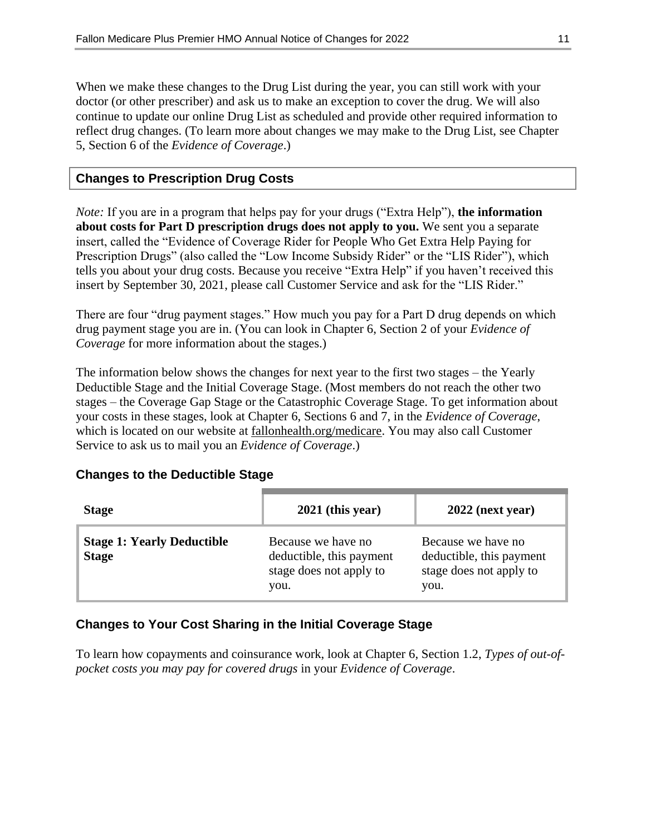When we make these changes to the Drug List during the year, you can still work with your doctor (or other prescriber) and ask us to make an exception to cover the drug. We will also continue to update our online Drug List as scheduled and provide other required information to reflect drug changes. (To learn more about changes we may make to the Drug List, see Chapter 5, Section 6 of the *Evidence of Coverage*.)

#### **Changes to Prescription Drug Costs**

*Note:* If you are in a program that helps pay for your drugs ("Extra Help"), **the information about costs for Part D prescription drugs does not apply to you.** We sent you a separate insert, called the "Evidence of Coverage Rider for People Who Get Extra Help Paying for Prescription Drugs" (also called the "Low Income Subsidy Rider" or the "LIS Rider"), which tells you about your drug costs. Because you receive "Extra Help" if you haven't received this insert by September 30, 2021, please call Customer Service and ask for the "LIS Rider."

There are four "drug payment stages." How much you pay for a Part D drug depends on which drug payment stage you are in. (You can look in Chapter 6, Section 2 of your *Evidence of Coverage* for more information about the stages.)

The information below shows the changes for next year to the first two stages – the Yearly Deductible Stage and the Initial Coverage Stage. (Most members do not reach the other two stages – the Coverage Gap Stage or the Catastrophic Coverage Stage. To get information about your costs in these stages, look at Chapter 6, Sections 6 and 7, in the *Evidence of Coverage*, which is located on our website at fallonhealth.org/medicare. You may also call Customer Service to ask us to mail you an *Evidence of Coverage*.)

#### **Changes to the Deductible Stage**

| <b>Stage</b>                                      | $2021$ (this year)                                                                | $2022$ (next year)                                                                |
|---------------------------------------------------|-----------------------------------------------------------------------------------|-----------------------------------------------------------------------------------|
| <b>Stage 1: Yearly Deductible</b><br><b>Stage</b> | Because we have no<br>deductible, this payment<br>stage does not apply to<br>you. | Because we have no<br>deductible, this payment<br>stage does not apply to<br>you. |

#### **Changes to Your Cost Sharing in the Initial Coverage Stage**

To learn how copayments and coinsurance work, look at Chapter 6, Section 1.2, *Types of out-ofpocket costs you may pay for covered drugs* in your *Evidence of Coverage*.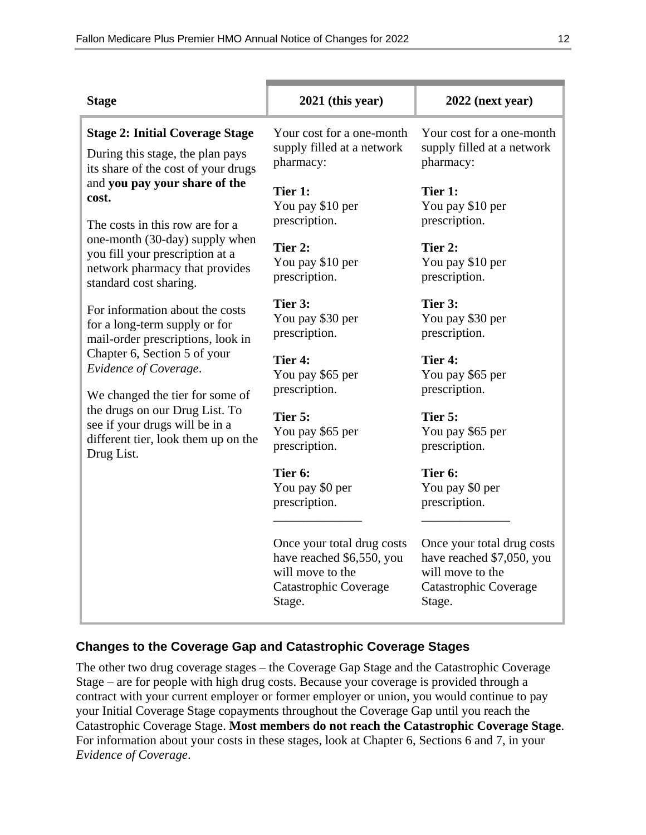| <b>Stage</b>                                                                                                                  | $2021$ (this year)                                                                                                    | $2022$ (next year)                                                                                             |
|-------------------------------------------------------------------------------------------------------------------------------|-----------------------------------------------------------------------------------------------------------------------|----------------------------------------------------------------------------------------------------------------|
| <b>Stage 2: Initial Coverage Stage</b><br>During this stage, the plan pays<br>its share of the cost of your drugs             | Your cost for a one-month<br>supply filled at a network<br>pharmacy:                                                  | Your cost for a one-month<br>supply filled at a network<br>pharmacy:                                           |
| and you pay your share of the<br>cost.<br>The costs in this row are for a                                                     | Tier 1:<br>You pay \$10 per<br>prescription.                                                                          | Tier 1:<br>You pay \$10 per<br>prescription.                                                                   |
| one-month (30-day) supply when<br>you fill your prescription at a<br>network pharmacy that provides<br>standard cost sharing. | Tier 2:<br>You pay \$10 per<br>prescription.                                                                          | Tier 2:<br>You pay \$10 per<br>prescription.                                                                   |
| For information about the costs<br>for a long-term supply or for<br>mail-order prescriptions, look in                         | Tier 3:<br>You pay \$30 per<br>prescription.                                                                          | Tier 3:<br>You pay \$30 per<br>prescription.                                                                   |
| Chapter 6, Section 5 of your<br>Evidence of Coverage.<br>We changed the tier for some of                                      | Tier 4:<br>You pay \$65 per<br>prescription.                                                                          | Tier 4:<br>You pay \$65 per<br>prescription.                                                                   |
| the drugs on our Drug List. To<br>see if your drugs will be in a<br>different tier, look them up on the<br>Drug List.         | Tier 5:<br>You pay \$65 per<br>prescription.                                                                          | Tier 5:<br>You pay \$65 per<br>prescription.                                                                   |
|                                                                                                                               | Tier 6:<br>You pay \$0 per<br>prescription.                                                                           | Tier 6:<br>You pay \$0 per<br>prescription.                                                                    |
|                                                                                                                               | Once your total drug costs<br>have reached \$6,550, you<br>will move to the<br><b>Catastrophic Coverage</b><br>Stage. | Once your total drug costs<br>have reached \$7,050, you<br>will move to the<br>Catastrophic Coverage<br>Stage. |

#### **Changes to the Coverage Gap and Catastrophic Coverage Stages**

The other two drug coverage stages – the Coverage Gap Stage and the Catastrophic Coverage Stage – are for people with high drug costs. Because your coverage is provided through a contract with your current employer or former employer or union, you would continue to pay your Initial Coverage Stage copayments throughout the Coverage Gap until you reach the Catastrophic Coverage Stage. **Most members do not reach the Catastrophic Coverage Stage**. For information about your costs in these stages, look at Chapter 6, Sections 6 and 7, in your *Evidence of Coverage*.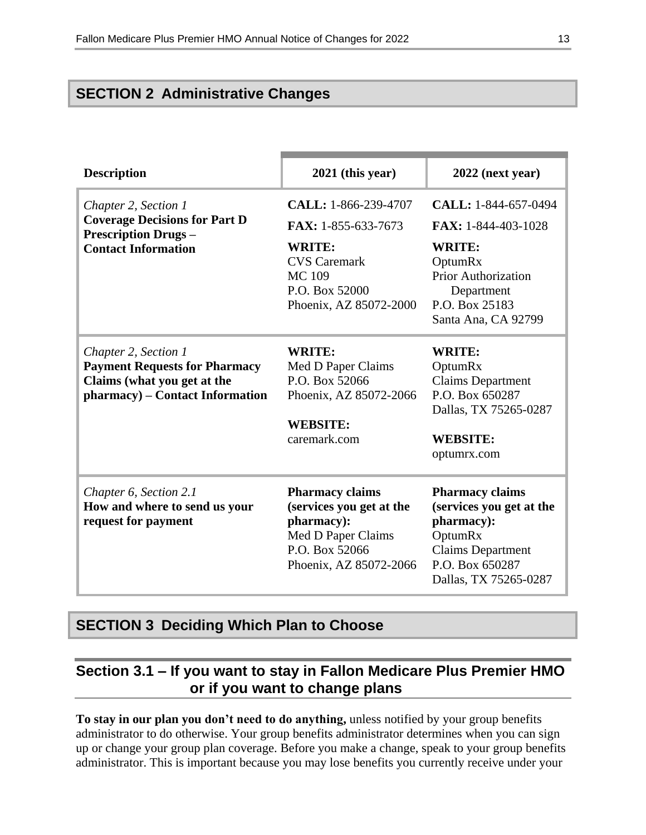## **SECTION 2 Administrative Changes**

| <b>Description</b>                                                                                | 2021 (this year)         | $2022$ (next year)       |
|---------------------------------------------------------------------------------------------------|--------------------------|--------------------------|
|                                                                                                   |                          |                          |
| Chapter 2, Section 1                                                                              | CALL: 1-866-239-4707     | CALL: 1-844-657-0494     |
| <b>Coverage Decisions for Part D</b><br><b>Prescription Drugs -</b><br><b>Contact Information</b> | FAX: 1-855-633-7673      | FAX: 1-844-403-1028      |
|                                                                                                   | <b>WRITE:</b>            | <b>WRITE:</b>            |
|                                                                                                   | <b>CVS</b> Caremark      | OptumRx                  |
|                                                                                                   | <b>MC109</b>             | Prior Authorization      |
|                                                                                                   | P.O. Box 52000           | Department               |
|                                                                                                   | Phoenix, AZ 85072-2000   | P.O. Box 25183           |
|                                                                                                   |                          | Santa Ana, CA 92799      |
| Chapter 2, Section 1                                                                              | <b>WRITE:</b>            | <b>WRITE:</b>            |
| <b>Payment Requests for Pharmacy</b>                                                              | Med D Paper Claims       | OptumRx                  |
| Claims (what you get at the                                                                       | P.O. Box 52066           | <b>Claims Department</b> |
| pharmacy) - Contact Information                                                                   | Phoenix, AZ 85072-2066   | P.O. Box 650287          |
|                                                                                                   |                          | Dallas, TX 75265-0287    |
|                                                                                                   | <b>WEBSITE:</b>          |                          |
|                                                                                                   | caremark.com             | <b>WEBSITE:</b>          |
|                                                                                                   |                          | optumrx.com              |
| Chapter 6, Section 2.1                                                                            | <b>Pharmacy claims</b>   | <b>Pharmacy claims</b>   |
| How and where to send us your                                                                     | (services you get at the | (services you get at the |
| request for payment                                                                               | pharmacy):               | pharmacy):               |
|                                                                                                   | Med D Paper Claims       | OptumRx                  |
|                                                                                                   | P.O. Box 52066           | <b>Claims Department</b> |
|                                                                                                   | Phoenix, AZ 85072-2066   | P.O. Box 650287          |
|                                                                                                   |                          | Dallas, TX 75265-0287    |

#### **SECTION 3 Deciding Which Plan to Choose**

## **Section 3.1 – If you want to stay in Fallon Medicare Plus Premier HMO or if you want to change plans**

**To stay in our plan you don't need to do anything,** unless notified by your group benefits administrator to do otherwise. Your group benefits administrator determines when you can sign up or change your group plan coverage. Before you make a change, speak to your group benefits administrator. This is important because you may lose benefits you currently receive under your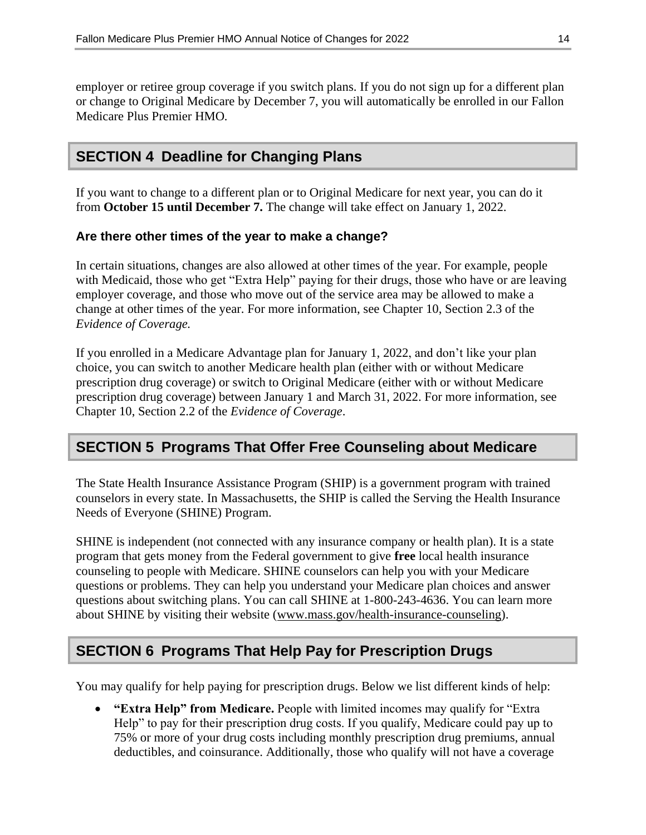employer or retiree group coverage if you switch plans. If you do not sign up for a different plan or change to Original Medicare by December 7, you will automatically be enrolled in our Fallon Medicare Plus Premier HMO*.*

## **SECTION 4 Deadline for Changing Plans**

If you want to change to a different plan or to Original Medicare for next year, you can do it from **October 15 until December 7.** The change will take effect on January 1, 2022.

#### **Are there other times of the year to make a change?**

In certain situations, changes are also allowed at other times of the year. For example, people with Medicaid, those who get "Extra Help" paying for their drugs, those who have or are leaving employer coverage, and those who move out of the service area may be allowed to make a change at other times of the year. For more information, see Chapter 10, Section 2.3 of the *Evidence of Coverage.*

If you enrolled in a Medicare Advantage plan for January 1, 2022, and don't like your plan choice, you can switch to another Medicare health plan (either with or without Medicare prescription drug coverage) or switch to Original Medicare (either with or without Medicare prescription drug coverage) between January 1 and March 31, 2022. For more information, see Chapter 10, Section 2.2 of the *Evidence of Coverage*.

## **SECTION 5 Programs That Offer Free Counseling about Medicare**

The State Health Insurance Assistance Program (SHIP) is a government program with trained counselors in every state. In Massachusetts, the SHIP is called the Serving the Health Insurance Needs of Everyone (SHINE) Program.

SHINE is independent (not connected with any insurance company or health plan). It is a state program that gets money from the Federal government to give **free** local health insurance counseling to people with Medicare. SHINE counselors can help you with your Medicare questions or problems. They can help you understand your Medicare plan choices and answer questions about switching plans. You can call SHINE at 1-800-243-4636. You can learn more about SHINE by visiting their website [\(www.mass.gov/health-insurance-counseling\)](file://///emcprd01/GROUP/Medicare%20Programs/ANOCs/2021/Templates/Fallon%20Medicare%20Plus/www.mass.gov/health-insurance-counseling).

## **SECTION 6 Programs That Help Pay for Prescription Drugs**

You may qualify for help paying for prescription drugs. Below we list different kinds of help:

 **"Extra Help" from Medicare.** People with limited incomes may qualify for "Extra Help" to pay for their prescription drug costs. If you qualify, Medicare could pay up to 75% or more of your drug costs including monthly prescription drug premiums, annual deductibles, and coinsurance. Additionally, those who qualify will not have a coverage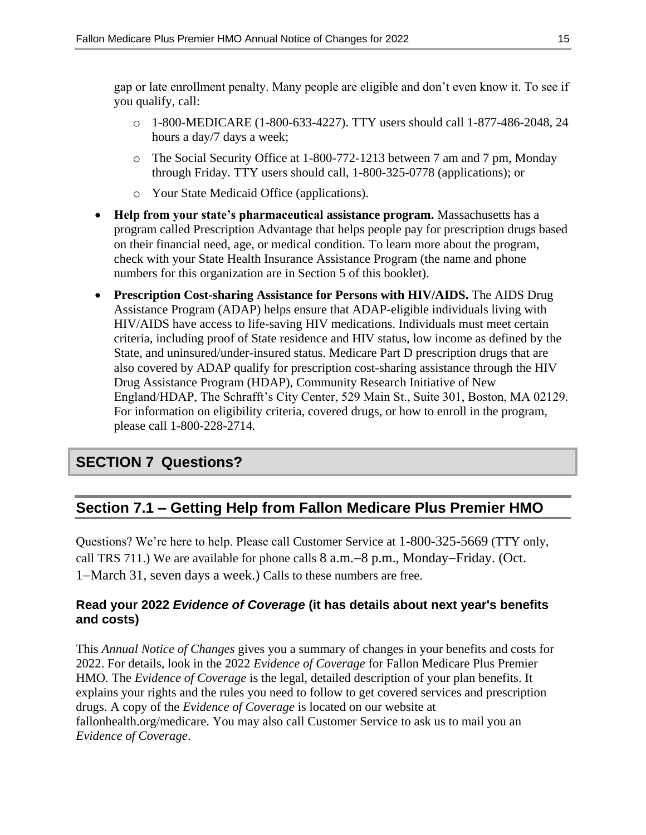gap or late enrollment penalty. Many people are eligible and don't even know it. To see if you qualify, call:

- o 1-800-MEDICARE (1-800-633-4227). TTY users should call 1-877-486-2048, 24 hours a day/7 days a week;
- o The Social Security Office at 1-800-772-1213 between 7 am and 7 pm, Monday through Friday. TTY users should call, 1-800-325-0778 (applications); or
- o Your State Medicaid Office (applications).
- **Help from your state's pharmaceutical assistance program.** Massachusetts has a program called Prescription Advantage that helps people pay for prescription drugs based on their financial need, age, or medical condition*.* To learn more about the program, check with your State Health Insurance Assistance Program (the name and phone numbers for this organization are in Section 5 of this booklet).
- **Prescription Cost-sharing Assistance for Persons with HIV/AIDS.** The AIDS Drug Assistance Program (ADAP) helps ensure that ADAP-eligible individuals living with HIV/AIDS have access to life-saving HIV medications. Individuals must meet certain criteria, including proof of State residence and HIV status, low income as defined by the State, and uninsured/under-insured status. Medicare Part D prescription drugs that are also covered by ADAP qualify for prescription cost-sharing assistance through the HIV Drug Assistance Program (HDAP), Community Research Initiative of New England/HDAP, The Schrafft's City Center, 529 Main St., Suite 301, Boston, MA 02129*.* For information on eligibility criteria, covered drugs, or how to enroll in the program, please call 1-800-228-2714*.*

## **SECTION 7 Questions?**

## **Section 7.1 – Getting Help from Fallon Medicare Plus Premier HMO**

Questions? We're here to help. Please call Customer Service at 1-800-325-5669 (TTY only, call TRS 711.) We are available for phone calls  $8$  a.m.  $-8$  p.m., Monday–Friday. (Oct. 1–March 31, seven days a week.) Calls to these numbers are free.

#### **Read your 2022** *Evidence of Coverage* **(it has details about next year's benefits and costs)**

This *Annual Notice of Changes* gives you a summary of changes in your benefits and costs for 2022. For details, look in the 2022 *Evidence of Coverage* for Fallon Medicare Plus Premier HMO*.* The *Evidence of Coverage* is the legal, detailed description of your plan benefits. It explains your rights and the rules you need to follow to get covered services and prescription drugs. A copy of the *Evidence of Coverage* is located on our website at fallonhealth.org/medicare. You may also call Customer Service to ask us to mail you an *Evidence of Coverage*.